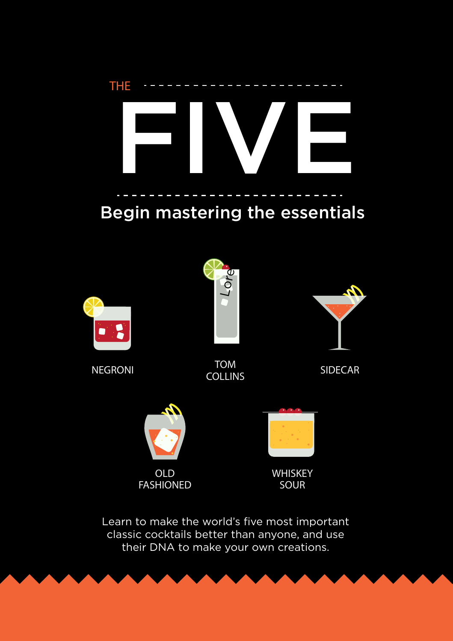# FIVE THE

### Begin mastering the essentials



NEGRONI NEGRONI SIDECAR



TOM COLLINS





WHISKEY SOUR

Learn to make the world's five most important classic cocktails better than anyone, and use their DNA to make your own creations.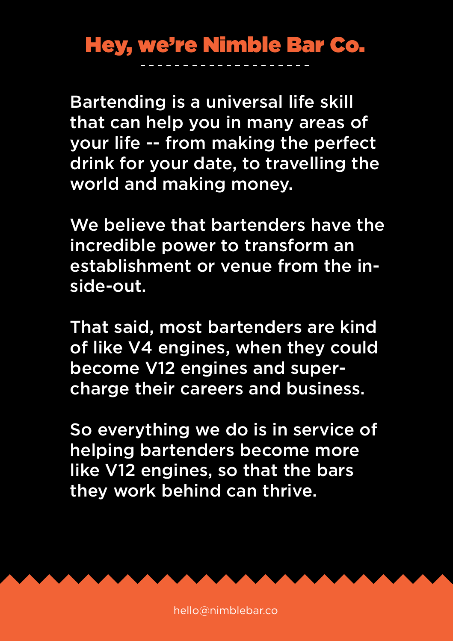### Hey, we're Nimble Bar Co.

Bartending is a universal life skill that can help you in many areas of your life -- from making the perfect drink for your date, to travelling the world and making money.

We believe that bartenders have the incredible power to transform an establishment or venue from the inside-out.

That said, most bartenders are kind of like V4 engines, when they could become V12 engines and supercharge their careers and business.

So everything we do is in service of helping bartenders become more like V12 engines, so that the bars they work behind can thrive.

hello@nimblebar.co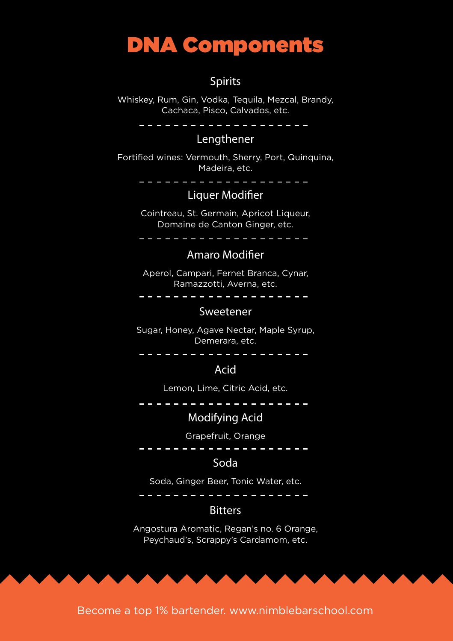### DNA Components

#### **Spirits**

Whiskey, Rum, Gin, Vodka, Tequila, Mezcal, Brandy, Cachaca, Pisco, Calvados, etc.

. <u>. . . . . . . . . . . . . . . .</u> .

#### **Lengthener**

Fortified wines: Vermouth, Sherry, Port, Quinquina, Madeira, etc.

<u> Territoria de la p</u>

#### **Liquer Modifier**

Cointreau, St. Germain, Apricot Liqueur, Domaine de Canton Ginger, etc.

#### Amaro Modifier

Aperol, Campari, Fernet Branca, Cynar, Ramazzotti, Averna, etc.

. . . . . . . . . . . . . . . . .

#### **Sweetener**

Sugar, Honey, Agave Nectar, Maple Syrup, Demerara, etc.

#### Acid

Lemon, Lime, Citric Acid, etc.

#### **Modifying Acid**

#### Grapefruit, Orange

. . . . . . . . . . .

#### Soda

Soda, Ginger Beer, Tonic Water, etc.

#### 

#### **Bitters**

Angostura Aromatic, Regan's no. 6 Orange, Peychaud's, Scrappy's Cardamom, etc.

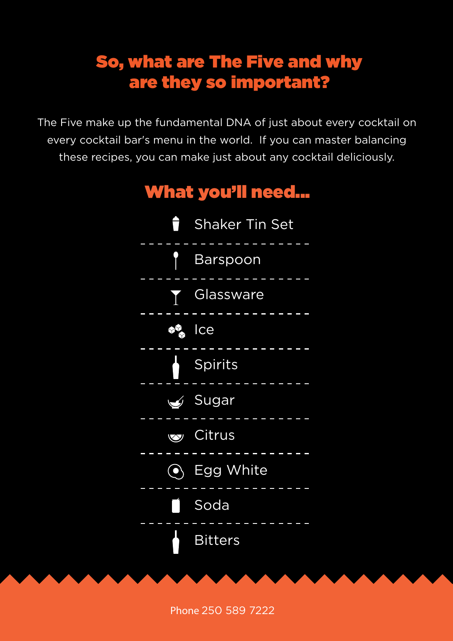### So, what are The Five and why are they so important?

The Five make up the fundamental DNA of just about every cocktail on every cocktail bar's menu in the world. If you can master balancing these recipes, you can make just about any cocktail deliciously.



**Phone** 250 589 7222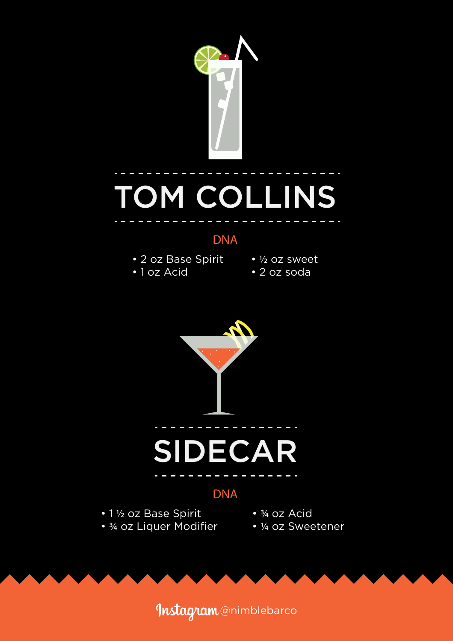

## TOM COLLINS

#### DNA

- 2 oz Base Spirit
- 1 oz Acid
- ½ oz sweet
- 2 oz soda



#### DNA

• 1 ½ oz Base Spirit • ¾ oz Liquer Modifier

- ¾ oz Acid
- ¼ oz Sweetener

Instagram @nimblebarco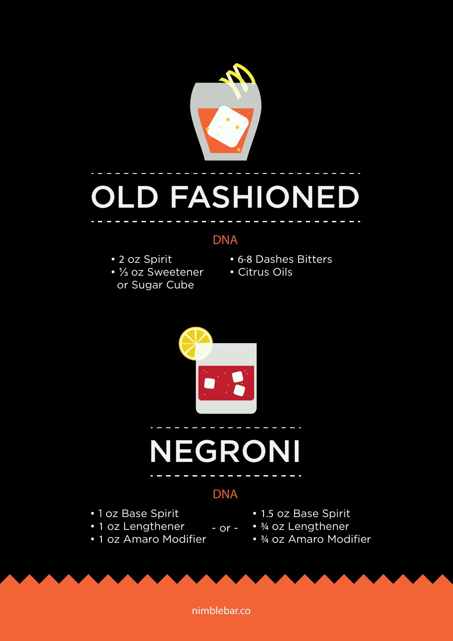

## OLD FASHIONED

#### DNA

- 2 oz Spirit
- ⅓ oz Sweetener or Sugar Cube
- 6-8 Dashes Bitters
- Citrus Oils



## NEGRONI

#### DNA

- or -

- 1 oz Base Spirit
- 1 oz Lengthener
- 1 oz Amaro Modifier
- 1.5 oz Base Spirit
- ¾ oz Lengthener
- ¾ oz Amaro Modifier

nimblebar.co